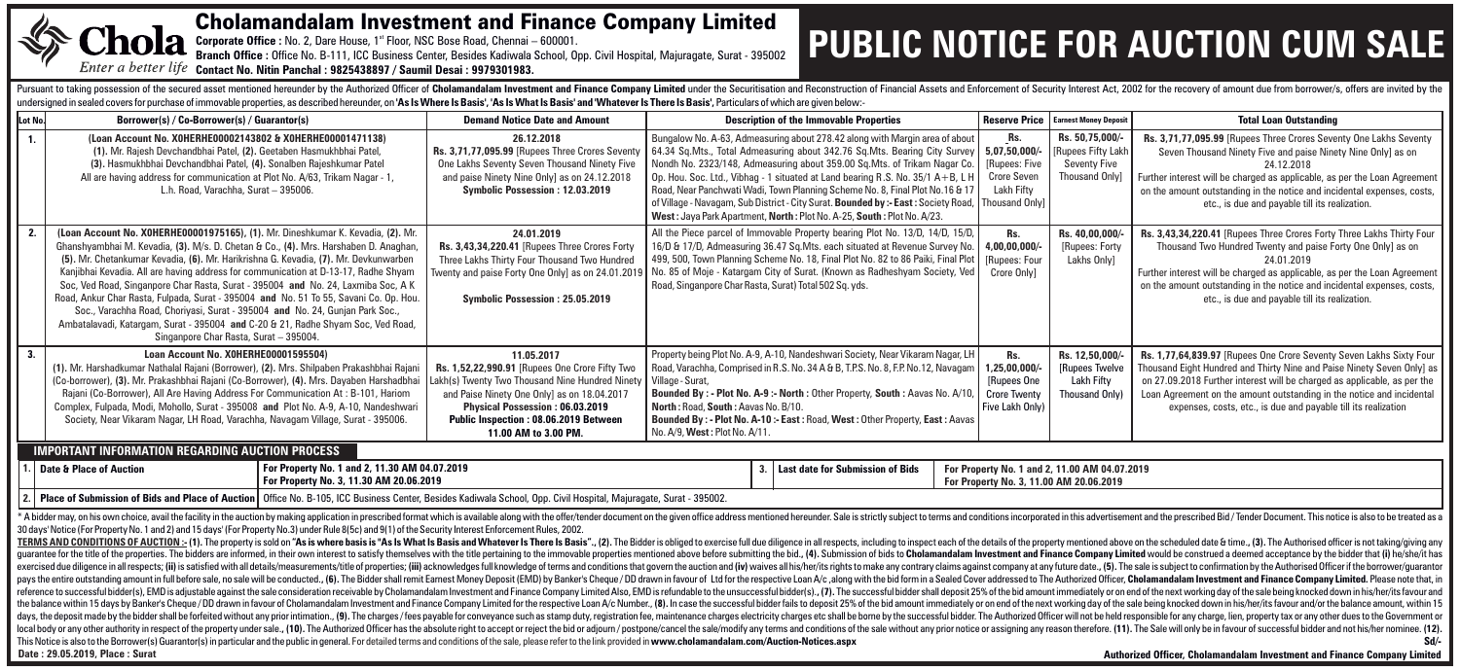

## Cholamandalam Investment and Finance Company Limited

**Corporate Office :** No. 2, Dare House, 1<sup>st</sup> Floor, NSC Bose Road, Chennai – 600001.

**Branch Office :** Office No. B-111, ICC Business Center, Besides Kadiwala School, Opp. Civil Hospital, Majuragate, Surat - 395002 **Contact No. Nitin Panchal : 9825438897 / Saumil Desai : 9979301983.** 

## **PUBLIC NOTICE FOR AUCTION CUM SALE**

Pursuant to taking possession of the secured asset mentioned hereunder by the Authorized Officer of Cholamandalam Investment and Finance Company Limited under the Securitisation and Reconstruction of Financial Assets and E undersigned in sealed covers for purchase of immovable properties, as described hereunder, on **'As Is Where Is Basis', 'As Is What Is Basis' and 'Whatever Is There Is Basis',** Particulars of which are given below:-

| Lot No.                                                                                                                                                                                                                                                                                                                                                                                                                                                                                                                                                                                                                                                                                                                                                                                                                                                                                                                                                                                                                                                                                                                                                                                                                                                                                                                                                                                                                                                                                                                                                                                                                                                                                                                                                                                                                                                                                                                                                                                                                                                                                                                                                                                                                                                                                                                                                                                                                                                                                                       | Borrower(s) / Co-Borrower(s) / Guarantor(s)                                                                                                                                                                                                                                                                                                                                                                                                                                                                                                                                                                                                                                                                                                        | <b>Demand Notice Date and Amount</b>                                                                                                                                                                                                                               | <b>Description of the Immovable Properties</b>                                          |                                                                                                                                                                                                                                                                                                                                                                                                                                                                                                                                                                         |                                                                                                   | <b>Reserve Price</b><br><b>Earnest Money Deposit</b>                                     | <b>Total Loan Outstanding</b>                                                                                                                                                                                                                                                                                                                                        |  |
|---------------------------------------------------------------------------------------------------------------------------------------------------------------------------------------------------------------------------------------------------------------------------------------------------------------------------------------------------------------------------------------------------------------------------------------------------------------------------------------------------------------------------------------------------------------------------------------------------------------------------------------------------------------------------------------------------------------------------------------------------------------------------------------------------------------------------------------------------------------------------------------------------------------------------------------------------------------------------------------------------------------------------------------------------------------------------------------------------------------------------------------------------------------------------------------------------------------------------------------------------------------------------------------------------------------------------------------------------------------------------------------------------------------------------------------------------------------------------------------------------------------------------------------------------------------------------------------------------------------------------------------------------------------------------------------------------------------------------------------------------------------------------------------------------------------------------------------------------------------------------------------------------------------------------------------------------------------------------------------------------------------------------------------------------------------------------------------------------------------------------------------------------------------------------------------------------------------------------------------------------------------------------------------------------------------------------------------------------------------------------------------------------------------------------------------------------------------------------------------------------------------|----------------------------------------------------------------------------------------------------------------------------------------------------------------------------------------------------------------------------------------------------------------------------------------------------------------------------------------------------------------------------------------------------------------------------------------------------------------------------------------------------------------------------------------------------------------------------------------------------------------------------------------------------------------------------------------------------------------------------------------------------|--------------------------------------------------------------------------------------------------------------------------------------------------------------------------------------------------------------------------------------------------------------------|-----------------------------------------------------------------------------------------|-------------------------------------------------------------------------------------------------------------------------------------------------------------------------------------------------------------------------------------------------------------------------------------------------------------------------------------------------------------------------------------------------------------------------------------------------------------------------------------------------------------------------------------------------------------------------|---------------------------------------------------------------------------------------------------|------------------------------------------------------------------------------------------|----------------------------------------------------------------------------------------------------------------------------------------------------------------------------------------------------------------------------------------------------------------------------------------------------------------------------------------------------------------------|--|
|                                                                                                                                                                                                                                                                                                                                                                                                                                                                                                                                                                                                                                                                                                                                                                                                                                                                                                                                                                                                                                                                                                                                                                                                                                                                                                                                                                                                                                                                                                                                                                                                                                                                                                                                                                                                                                                                                                                                                                                                                                                                                                                                                                                                                                                                                                                                                                                                                                                                                                               | (Loan Account No. X0HERHE00002143802 & X0HERHE00001471138)<br>(1). Mr. Rajesh Devchandbhai Patel, (2). Geetaben Hasmukhbhai Patel,<br>(3). Hasmukhbhai Devchandbhai Patel, (4). Sonalben Rajeshkumar Patel<br>All are having address for communication at Plot No. A/63. Trikam Nagar - 1<br>L.h. Road, Varachha, Surat - 395006.                                                                                                                                                                                                                                                                                                                                                                                                                  | 26.12.2018<br>Rs. 3,71,77,095.99 [Rupees Three Crores Seventy<br>One Lakhs Seventy Seven Thousand Ninety Five<br>and paise Ninety Nine Only] as on 24.12.2018<br>Symbolic Possession: 12.03.2019                                                                   |                                                                                         | Bungalow No. A-63, Admeasuring about 278.42 along with Margin area of about<br>64.34 Sq.Mts., Total Admeasuring about 342.76 Sq.Mts. Bearing City Survey<br>Nondh No. 2323/148, Admeasuring about 359.00 Sq.Mts. of Trikam Nagar Co.<br>Op. Hou. Soc. Ltd., Vibhag - 1 situated at Land bearing R.S. No. 35/1 A+B, L H<br>Road, Near Panchwati Wadi, Town Planning Scheme No. 8, Final Plot No. 16 & 17<br>of Village - Navagam, Sub District - City Surat. Bounded by :- East: Society Road,<br>West: Java Park Apartment, North: Plot No. A-25, South: Plot No. A/23. | Rs.<br>5,07,50,000/<br>[Rupees: Five<br><b>Crore Seven</b><br>Lakh Fifty<br><b>Thousand Only]</b> | Rs. 50,75,000/-<br>[Rupees Fifty Lakh<br><b>Seventy Five</b><br><b>Thousand Only]</b>    | Rs. 3,71,77,095.99 [Rupees Three Crores Seventy One Lakhs Seventy<br>Seven Thousand Ninety Five and paise Ninety Nine Only] as on<br>24.12.2018<br>Further interest will be charged as applicable, as per the Loan Agreement<br>on the amount outstanding in the notice and incidental expenses, costs,<br>etc., is due and payable till its realization.            |  |
|                                                                                                                                                                                                                                                                                                                                                                                                                                                                                                                                                                                                                                                                                                                                                                                                                                                                                                                                                                                                                                                                                                                                                                                                                                                                                                                                                                                                                                                                                                                                                                                                                                                                                                                                                                                                                                                                                                                                                                                                                                                                                                                                                                                                                                                                                                                                                                                                                                                                                                               | (Loan Account No. XOHERHE00001975165), (1). Mr. Dineshkumar K. Kevadia, (2). Mr.<br>Ghanshyambhai M. Kevadia, (3). M/s. D. Chetan & Co., (4). Mrs. Harshaben D. Anaghan<br>(5). Mr. Chetankumar Kevadia, (6). Mr. Harikrishna G. Kevadia, (7). Mr. Devkunwarben<br>Kanjibhai Kevadia. All are having address for communication at D-13-17, Radhe Shyam<br>Soc, Ved Road, Singanpore Char Rasta, Surat - 395004 and No. 24, Laxmiba Soc, A K<br>Road, Ankur Char Rasta, Fulpada, Surat - 395004 and No. 51 To 55, Savani Co. Op. Hou.<br>Soc., Varachha Road, Chorivasi, Surat - 395004 and No. 24, Gunian Park Soc.,<br>Ambatalavadi, Katargam, Surat - 395004 and C-20 & 21, Radhe Shyam Soc, Ved Road,<br>Singanpore Char Rasta, Surat - 395004. | 24.01.2019<br>Rs. 3,43,34,220.41 [Rupees Three Crores Forty<br>Three Lakhs Thirty Four Thousand Two Hundred<br>Twenty and paise Forty One Only] as on 24.01.201<br>Symbolic Possession: 25.05.2019                                                                 | Road, Singanpore Char Rasta, Surat) Total 502 Sq. yds.                                  | All the Piece parcel of Immovable Property bearing Plot No. 13/D, 14/D, 15/D,<br>16/D & 17/D, Admeasuring 36.47 Sq.Mts. each situated at Revenue Survey No.<br>499, 500, Town Planning Scheme No. 18, Final Plot No. 82 to 86 Paiki, Final Plot<br>No. 85 of Moje - Katargam City of Surat. (Known as Radheshyam Society, Ved                                                                                                                                                                                                                                           | Rs.<br>4.00.00.000/-<br><b>IRupees: Four</b><br>Crore Only1                                       | Rs. 40.00.000/-<br><b>IRupees: Forty</b><br>Lakhs Onlyl                                  | Rs. 3,43,34,220.41 [Rupees Three Crores Forty Three Lakhs Thirty Four<br>Thousand Two Hundred Twenty and paise Forty One Only] as on<br>24.01.2019<br>Further interest will be charged as applicable, as per the Loan Agreement<br>on the amount outstanding in the notice and incidental expenses, costs,<br>etc., is due and payable till its realization.         |  |
| 3.                                                                                                                                                                                                                                                                                                                                                                                                                                                                                                                                                                                                                                                                                                                                                                                                                                                                                                                                                                                                                                                                                                                                                                                                                                                                                                                                                                                                                                                                                                                                                                                                                                                                                                                                                                                                                                                                                                                                                                                                                                                                                                                                                                                                                                                                                                                                                                                                                                                                                                            | Loan Account No. X0HERHE00001595504)<br>(1). Mr. Harshadkumar Nathalal Rajani (Borrower), (2). Mrs. Shilpaben Prakashbhai Rajani<br>(Co-borrower), (3). Mr. Prakashbhai Rajani (Co-Borrower), (4). Mrs. Dayaben Harshadbhai<br>Rajani (Co-Borrower), All Are Having Address For Communication At: B-101, Hariom<br>Complex, Fulpada, Modi, Mohollo, Surat - 395008 and Plot No. A-9, A-10, Nandeshwari<br>Society, Near Vikaram Nagar, LH Road, Varachha, Navagam Village, Surat - 395006.                                                                                                                                                                                                                                                         | 11.05.2017<br>Rs. 1,52,22,990.91 [Rupees One Crore Fifty Two<br>Lakh(s) Twenty Two Thousand Nine Hundred Ninety<br>and Paise Ninety One Only] as on 18.04.2017<br>Physical Possession: 06.03.2019<br>Public Inspection: 08.06.2019 Between<br>11.00 AM to 3.00 PM. | Village - Surat<br>North: Road, South: Aavas No. B/10.<br>No. A/9. West: Plot No. A/11. | Property being Plot No. A-9, A-10, Nandeshwari Society, Near Vikaram Nagar, LH<br>Road, Varachha, Comprised in R.S. No. 34 A & B, T.P.S. No. 8, F.P. No.12, Navagam<br>Bounded By : - Plot No. A-9 :- North : Other Property, South : Aavas No. A/10<br>Bounded By: - Plot No. A-10: - East: Road, West: Other Property, East: Aavas                                                                                                                                                                                                                                    | Rs.<br>1.25.00.000/<br><b>IRupees One</b><br><b>Crore Twenty</b><br>Five Lakh Only)               | Rs. 12.50.000/-<br>[Rupees Twelve<br>Lakh Fifty<br>Thousand Only)                        | Rs. 1.77.64.839.97 [Rupees One Crore Seventy Seven Lakhs Sixty Four<br>Thousand Eight Hundred and Thirty Nine and Paise Ninety Seven Only] as<br>on 27.09.2018 Further interest will be charged as applicable, as per the<br>Loan Agreement on the amount outstanding in the notice and incidental<br>expenses, costs, etc., is due and payable till its realization |  |
|                                                                                                                                                                                                                                                                                                                                                                                                                                                                                                                                                                                                                                                                                                                                                                                                                                                                                                                                                                                                                                                                                                                                                                                                                                                                                                                                                                                                                                                                                                                                                                                                                                                                                                                                                                                                                                                                                                                                                                                                                                                                                                                                                                                                                                                                                                                                                                                                                                                                                                               | <b>IMPORTANT INFORMATION REGARDING AUCTION PROCESS</b>                                                                                                                                                                                                                                                                                                                                                                                                                                                                                                                                                                                                                                                                                             |                                                                                                                                                                                                                                                                    |                                                                                         |                                                                                                                                                                                                                                                                                                                                                                                                                                                                                                                                                                         |                                                                                                   |                                                                                          |                                                                                                                                                                                                                                                                                                                                                                      |  |
|                                                                                                                                                                                                                                                                                                                                                                                                                                                                                                                                                                                                                                                                                                                                                                                                                                                                                                                                                                                                                                                                                                                                                                                                                                                                                                                                                                                                                                                                                                                                                                                                                                                                                                                                                                                                                                                                                                                                                                                                                                                                                                                                                                                                                                                                                                                                                                                                                                                                                                               | For Property No. 1 and 2, 11.30 AM 04.07.2019<br>. Date & Place of Auction<br>For Property No. 3, 11.30 AM 20.06.2019                                                                                                                                                                                                                                                                                                                                                                                                                                                                                                                                                                                                                              |                                                                                                                                                                                                                                                                    |                                                                                         | 3. Last date for Submission of Bids                                                                                                                                                                                                                                                                                                                                                                                                                                                                                                                                     |                                                                                                   | For Property No. 1 and 2, 11.00 AM 04.07.2019<br>For Property No. 3, 11.00 AM 20.06.2019 |                                                                                                                                                                                                                                                                                                                                                                      |  |
| Place of Submission of Bids and Place of Auction   Office No. B-105, ICC Business Center, Besides Kadiwala School, Opp. Civil Hospital, Majuragate, Surat - 395002.                                                                                                                                                                                                                                                                                                                                                                                                                                                                                                                                                                                                                                                                                                                                                                                                                                                                                                                                                                                                                                                                                                                                                                                                                                                                                                                                                                                                                                                                                                                                                                                                                                                                                                                                                                                                                                                                                                                                                                                                                                                                                                                                                                                                                                                                                                                                           |                                                                                                                                                                                                                                                                                                                                                                                                                                                                                                                                                                                                                                                                                                                                                    |                                                                                                                                                                                                                                                                    |                                                                                         |                                                                                                                                                                                                                                                                                                                                                                                                                                                                                                                                                                         |                                                                                                   |                                                                                          |                                                                                                                                                                                                                                                                                                                                                                      |  |
| * A bidder may, on his own choice, avail the facility in the auction by making application in prescribed format which is available along with the offer/tender document on the given office address mentioned hereunder. Sale<br>30 days' Notice (For Property No. 1 and 2) and 15 days' (For Property No.3) under Rule 8(5c) and 9(1) of the Security Interest Enforcement Rules, 2002.<br>TERMS AND CONDITIONS OF AUCTION:-(1). The property is sold on "As is where basis is "As Is What Is Basis "As Is What Is Basis and Whatever Is There Is Basis"., (2). The Bidder is obliged to exercise full due diligence in a<br>guarantee for the title of the properties. The bidders are informed, in their own interest to satisfy themselves with the title pertaining to the immovable properties mentioned above before submitting the bid., (4). Submis<br>exercised due diligence in all respects: (ii) is satisfied with all details/measurements/title of properties: (iii) acknowledges full knowledge of terms and conditions that govern the auction and (iv) waives all his/her/it<br>pays the entire outstanding amount in full before sale, no sale will be conducted., (6). The Bidder shall remit Earnest Money Deposit (EMD) by Banker's Cheque / DD drawn in favour of Ltd for the respective Loan A/c, along<br>reference to successful bidder(s), EMD is adjustable against the sale consideration receivable by Cholamandalam Investment and Finance Company Limited Also, EMD is refundable to the unsuccessful bidder(s)., (7). The succes<br>the balance within 15 days by Banker's Cheque / DD drawn in favour of Cholamandalam Investment and Finance Company Limited for the respective Loan A/c Number. (8). In case the successful bidder fails to deposit 25% of the<br>days, the deposit made by the bidder shall be forfeited without any prior intimation., (9). The charges/fees payable for conveyance such as stamp duty, registration fee, maintenance charges electricity charges etc. shall b<br>local body or any other authority in respect of the property under sale., (10). The Authorized Officer has the absolute right to accept or reject the bid or adjourn / postpone/cancel the sale/modify any terms and condition<br>This Notice is also to the Borrower(s) Guarantor(s) in particular and the public in general. For detailed terms and conditions of the sale, please refer to the link provided in www.cholamandalam.com/Auction-Notices.aspx<br>Sd/- |                                                                                                                                                                                                                                                                                                                                                                                                                                                                                                                                                                                                                                                                                                                                                    |                                                                                                                                                                                                                                                                    |                                                                                         |                                                                                                                                                                                                                                                                                                                                                                                                                                                                                                                                                                         |                                                                                                   |                                                                                          |                                                                                                                                                                                                                                                                                                                                                                      |  |

**Date : 29.05.2019, Place : Surat**

**Authorized Officer, Cholamandalam Investment and Finance Company Limited**